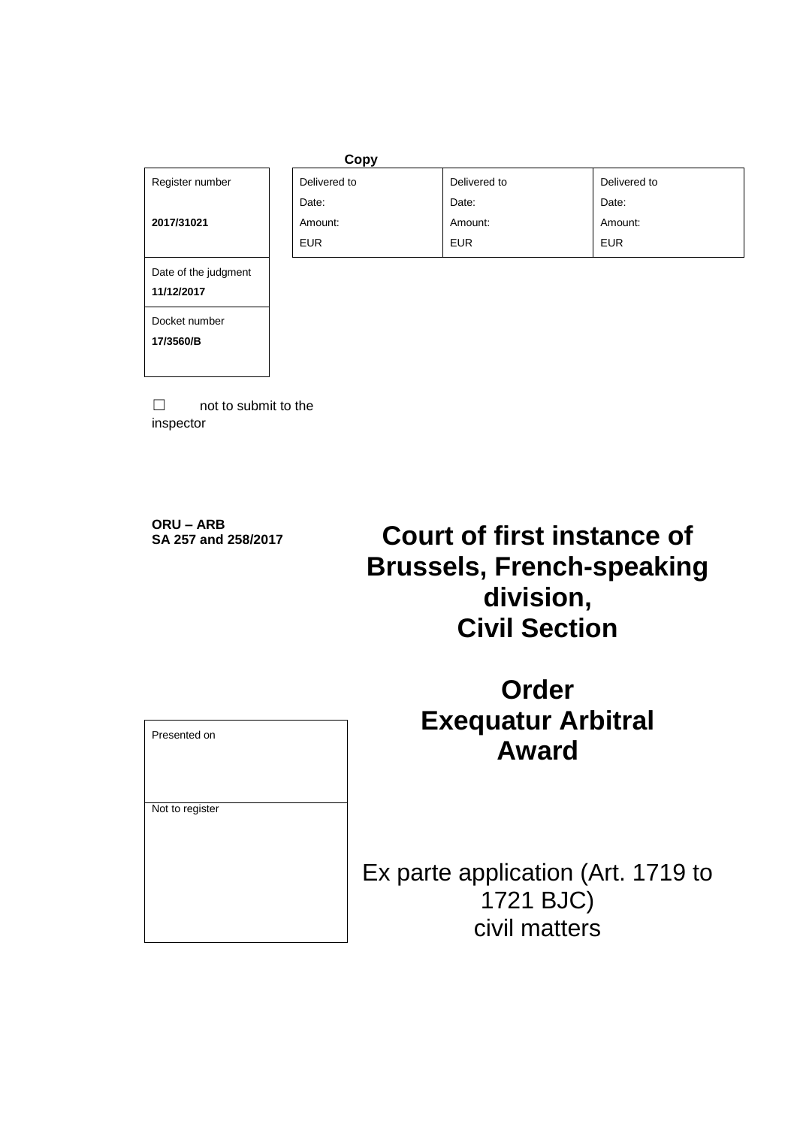# Register number

**2017/31021**

| Copy         |              |              |
|--------------|--------------|--------------|
| Delivered to | Delivered to | Delivered to |
| Date:        | Date:        | Date:        |
| Amount:      | Amount:      | Amount:      |
| <b>EUR</b>   | <b>EUR</b>   | <b>EUR</b>   |

Date of the judgment

Docket number

**17/3560/B**

**11/12/2017**

 $\Box$  not to submit to the inspector

**ORU – ARB**

# **Court of first instance of Brussels, French-speaking division, Civil Section**

| Presented on    |  |
|-----------------|--|
|                 |  |
| Not to register |  |
|                 |  |
|                 |  |
|                 |  |
|                 |  |
|                 |  |
|                 |  |
|                 |  |

**Order Exequatur Arbitral Award**

Ex parte application (Art. 1719 to 1721 BJC) civil matters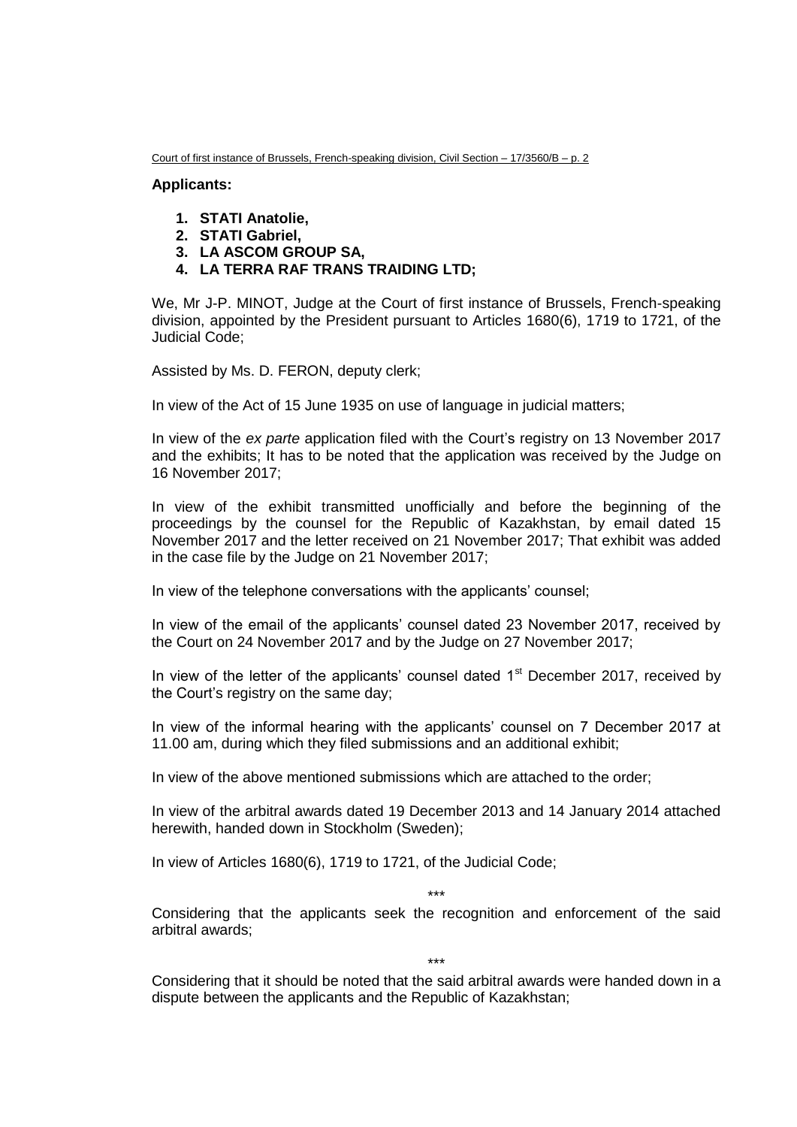Court of first instance of Brussels, French-speaking division, Civil Section – 17/3560/B – p. 2

#### **Applicants:**

- **1. STATI Anatolie,**
- **2. STATI Gabriel,**
- **3. LA ASCOM GROUP SA,**
- **4. LA TERRA RAF TRANS TRAIDING LTD;**

We, Mr J-P. MINOT, Judge at the Court of first instance of Brussels, French-speaking division, appointed by the President pursuant to Articles 1680(6), 1719 to 1721, of the Judicial Code;

Assisted by Ms. D. FERON, deputy clerk;

In view of the Act of 15 June 1935 on use of language in judicial matters;

In view of the *ex parte* application filed with the Court's registry on 13 November 2017 and the exhibits; It has to be noted that the application was received by the Judge on 16 November 2017;

In view of the exhibit transmitted unofficially and before the beginning of the proceedings by the counsel for the Republic of Kazakhstan, by email dated 15 November 2017 and the letter received on 21 November 2017; That exhibit was added in the case file by the Judge on 21 November 2017;

In view of the telephone conversations with the applicants' counsel;

In view of the email of the applicants' counsel dated 23 November 2017, received by the Court on 24 November 2017 and by the Judge on 27 November 2017;

In view of the letter of the applicants' counsel dated  $1<sup>st</sup>$  December 2017, received by the Court's registry on the same day;

In view of the informal hearing with the applicants' counsel on 7 December 2017 at 11.00 am, during which they filed submissions and an additional exhibit;

In view of the above mentioned submissions which are attached to the order;

In view of the arbitral awards dated 19 December 2013 and 14 January 2014 attached herewith, handed down in Stockholm (Sweden);

In view of Articles 1680(6), 1719 to 1721, of the Judicial Code;

\*\*\*

Considering that the applicants seek the recognition and enforcement of the said arbitral awards;

\*\*\*

Considering that it should be noted that the said arbitral awards were handed down in a dispute between the applicants and the Republic of Kazakhstan;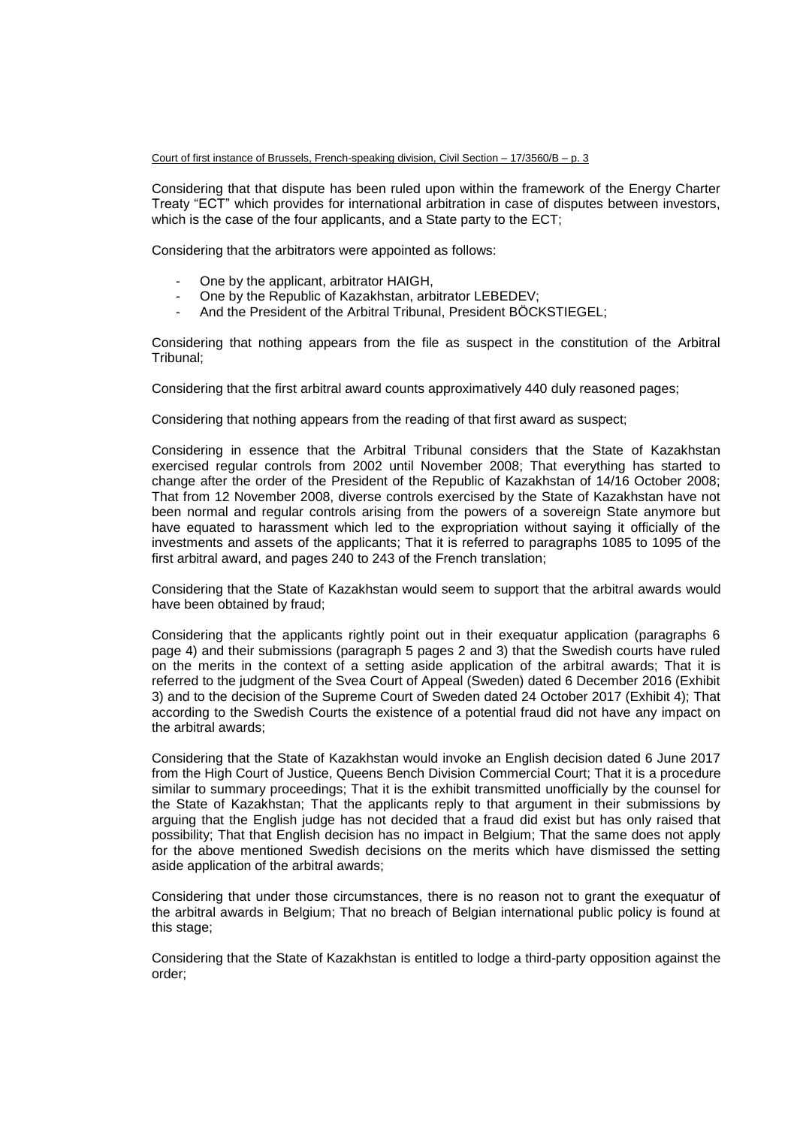Court of first instance of Brussels, French-speaking division, Civil Section – 17/3560/B – p. 3

Considering that that dispute has been ruled upon within the framework of the Energy Charter Treaty "ECT" which provides for international arbitration in case of disputes between investors, which is the case of the four applicants, and a State party to the ECT;

Considering that the arbitrators were appointed as follows:

- One by the applicant, arbitrator HAIGH,
- One by the Republic of Kazakhstan, arbitrator LEBEDEV;
- And the President of the Arbitral Tribunal, President BÖCKSTIEGEL;

Considering that nothing appears from the file as suspect in the constitution of the Arbitral Tribunal;

Considering that the first arbitral award counts approximatively 440 duly reasoned pages;

Considering that nothing appears from the reading of that first award as suspect;

Considering in essence that the Arbitral Tribunal considers that the State of Kazakhstan exercised regular controls from 2002 until November 2008; That everything has started to change after the order of the President of the Republic of Kazakhstan of 14/16 October 2008; That from 12 November 2008, diverse controls exercised by the State of Kazakhstan have not been normal and regular controls arising from the powers of a sovereign State anymore but have equated to harassment which led to the expropriation without saying it officially of the investments and assets of the applicants; That it is referred to paragraphs 1085 to 1095 of the first arbitral award, and pages 240 to 243 of the French translation;

Considering that the State of Kazakhstan would seem to support that the arbitral awards would have been obtained by fraud;

Considering that the applicants rightly point out in their exequatur application (paragraphs 6 page 4) and their submissions (paragraph 5 pages 2 and 3) that the Swedish courts have ruled on the merits in the context of a setting aside application of the arbitral awards; That it is referred to the judgment of the Svea Court of Appeal (Sweden) dated 6 December 2016 (Exhibit 3) and to the decision of the Supreme Court of Sweden dated 24 October 2017 (Exhibit 4); That according to the Swedish Courts the existence of a potential fraud did not have any impact on the arbitral awards;

Considering that the State of Kazakhstan would invoke an English decision dated 6 June 2017 from the High Court of Justice, Queens Bench Division Commercial Court; That it is a procedure similar to summary proceedings; That it is the exhibit transmitted unofficially by the counsel for the State of Kazakhstan; That the applicants reply to that argument in their submissions by arguing that the English judge has not decided that a fraud did exist but has only raised that possibility; That that English decision has no impact in Belgium; That the same does not apply for the above mentioned Swedish decisions on the merits which have dismissed the setting aside application of the arbitral awards;

Considering that under those circumstances, there is no reason not to grant the exequatur of the arbitral awards in Belgium; That no breach of Belgian international public policy is found at this stage;

Considering that the State of Kazakhstan is entitled to lodge a third-party opposition against the order;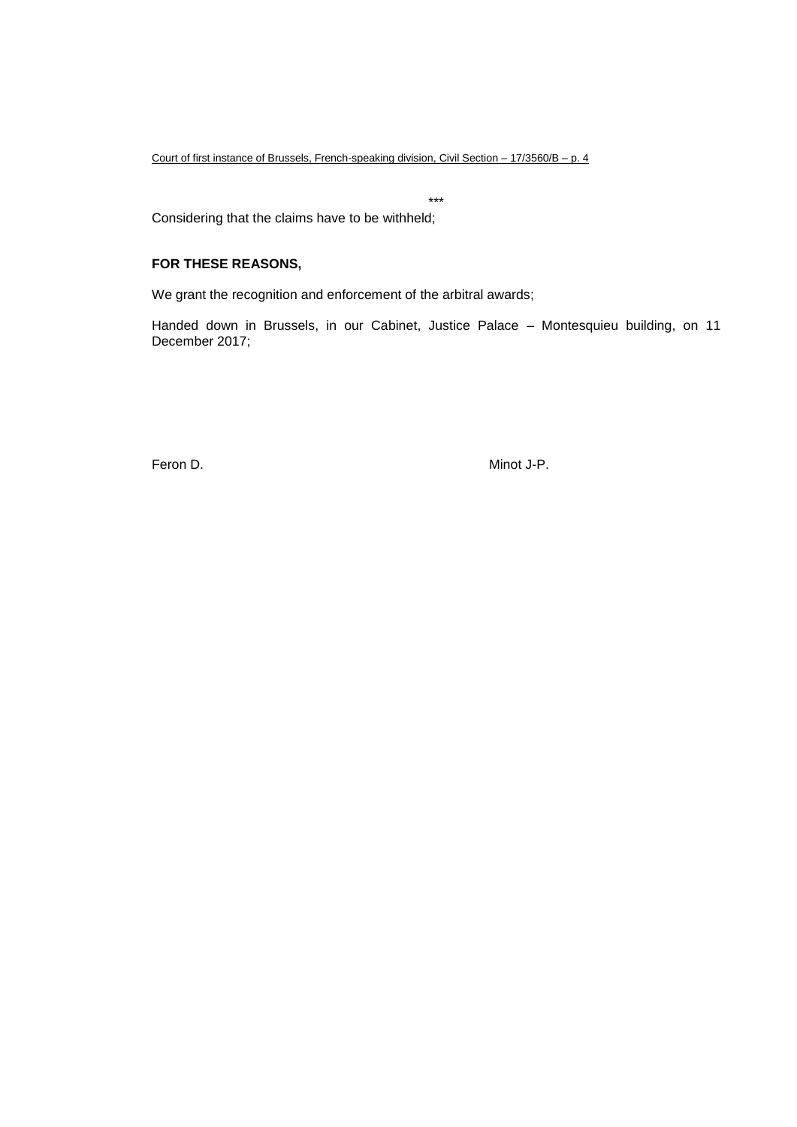Court of first instance of Brussels, French-speaking division, Civil Section – 17/3560/B – p. 4

\*\*\*

Considering that the claims have to be withheld;

#### **FOR THESE REASONS,**

We grant the recognition and enforcement of the arbitral awards;

Handed down in Brussels, in our Cabinet, Justice Palace – Montesquieu building, on 11 December 2017;

Feron D. Ninot J-P.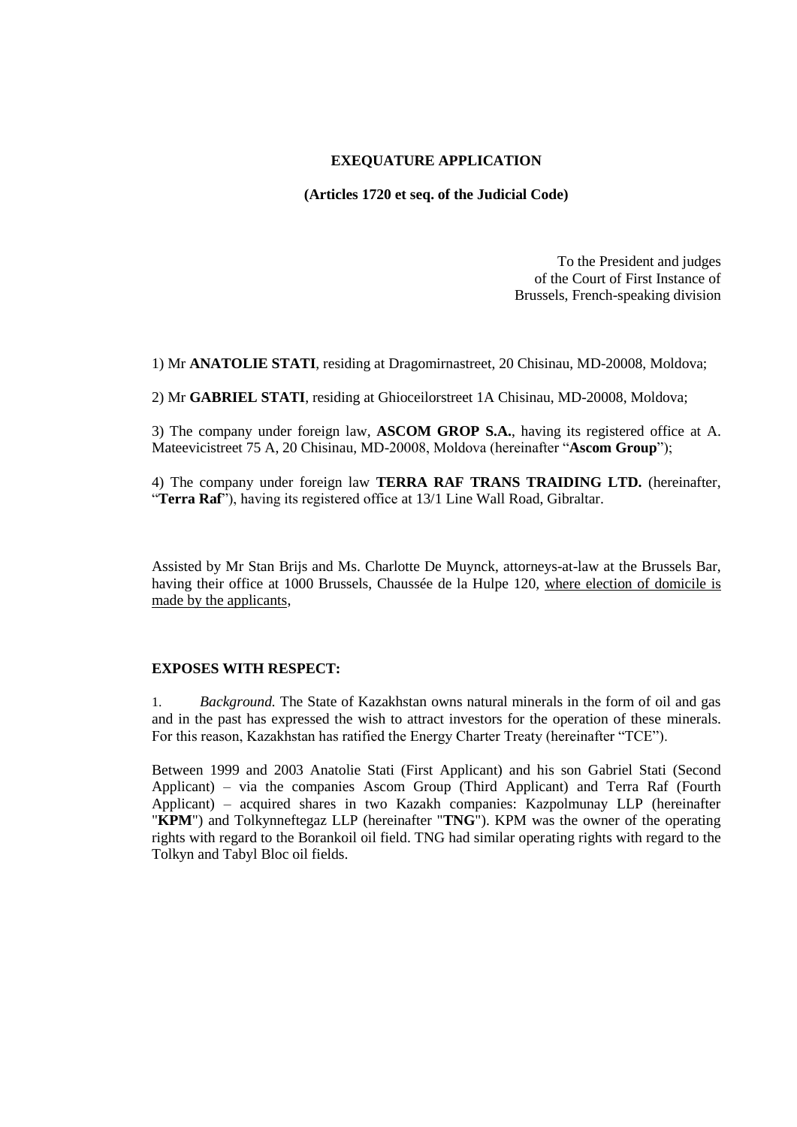# **EXEQUATURE APPLICATION**

**(Articles 1720 et seq. of the Judicial Code)**

To the President and judges of the Court of First Instance of Brussels, French-speaking division

1) Mr **ANATOLIE STATI**, residing at Dragomirnastreet, 20 Chisinau, MD-20008, Moldova;

2) Mr **GABRIEL STATI**, residing at Ghioceilorstreet 1A Chisinau, MD-20008, Moldova;

3) The company under foreign law, **ASCOM GROP S.A.**, having its registered office at A. Mateevicistreet 75 A, 20 Chisinau, MD-20008, Moldova (hereinafter "**Ascom Group**");

4) The company under foreign law **TERRA RAF TRANS TRAIDING LTD.** (hereinafter, "**Terra Raf**"), having its registered office at 13/1 Line Wall Road, Gibraltar.

Assisted by Mr Stan Brijs and Ms. Charlotte De Muynck, attorneys-at-law at the Brussels Bar, having their office at 1000 Brussels, Chaussée de la Hulpe 120, where election of domicile is made by the applicants,

### **EXPOSES WITH RESPECT:**

1. *Background.* The State of Kazakhstan owns natural minerals in the form of oil and gas and in the past has expressed the wish to attract investors for the operation of these minerals. For this reason, Kazakhstan has ratified the Energy Charter Treaty (hereinafter "TCE").

Between 1999 and 2003 Anatolie Stati (First Applicant) and his son Gabriel Stati (Second Applicant) – via the companies Ascom Group (Third Applicant) and Terra Raf (Fourth Applicant) – acquired shares in two Kazakh companies: Kazpolmunay LLP (hereinafter "**KPM**") and Tolkynneftegaz LLP (hereinafter "**TNG**"). KPM was the owner of the operating rights with regard to the Borankoil oil field. TNG had similar operating rights with regard to the Tolkyn and Tabyl Bloc oil fields.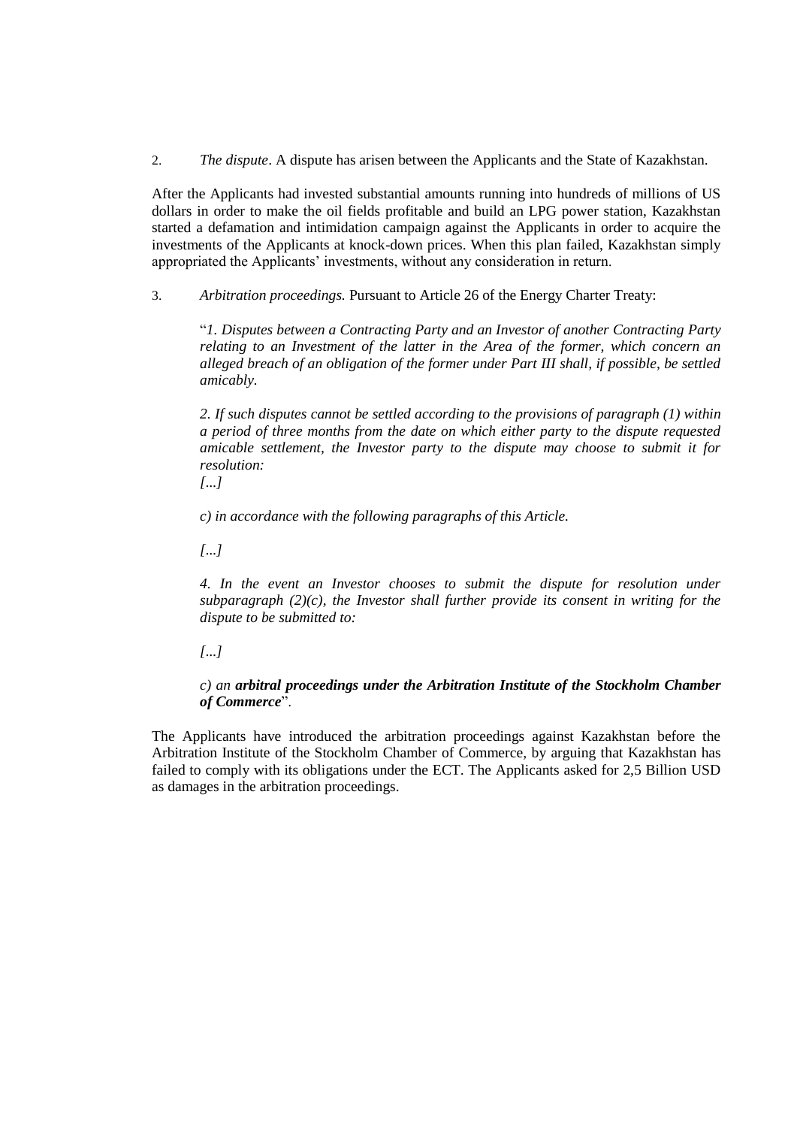2. *The dispute*. A dispute has arisen between the Applicants and the State of Kazakhstan.

After the Applicants had invested substantial amounts running into hundreds of millions of US dollars in order to make the oil fields profitable and build an LPG power station, Kazakhstan started a defamation and intimidation campaign against the Applicants in order to acquire the investments of the Applicants at knock-down prices. When this plan failed, Kazakhstan simply appropriated the Applicants' investments, without any consideration in return.

3. *Arbitration proceedings.* Pursuant to Article 26 of the Energy Charter Treaty:

"*1. Disputes between a Contracting Party and an Investor of another Contracting Party relating to an Investment of the latter in the Area of the former, which concern an alleged breach of an obligation of the former under Part III shall, if possible, be settled amicably.*

*2. If such disputes cannot be settled according to the provisions of paragraph (1) within a period of three months from the date on which either party to the dispute requested amicable settlement, the Investor party to the dispute may choose to submit it for resolution:*

*[...]*

*c) in accordance with the following paragraphs of this Article.*

*[...]*

*4. In the event an Investor chooses to submit the dispute for resolution under subparagraph (2)(c), the Investor shall further provide its consent in writing for the dispute to be submitted to:*

*[...]*

*c) an arbitral proceedings under the Arbitration Institute of the Stockholm Chamber of Commerce*".

The Applicants have introduced the arbitration proceedings against Kazakhstan before the Arbitration Institute of the Stockholm Chamber of Commerce, by arguing that Kazakhstan has failed to comply with its obligations under the ECT. The Applicants asked for 2,5 Billion USD as damages in the arbitration proceedings.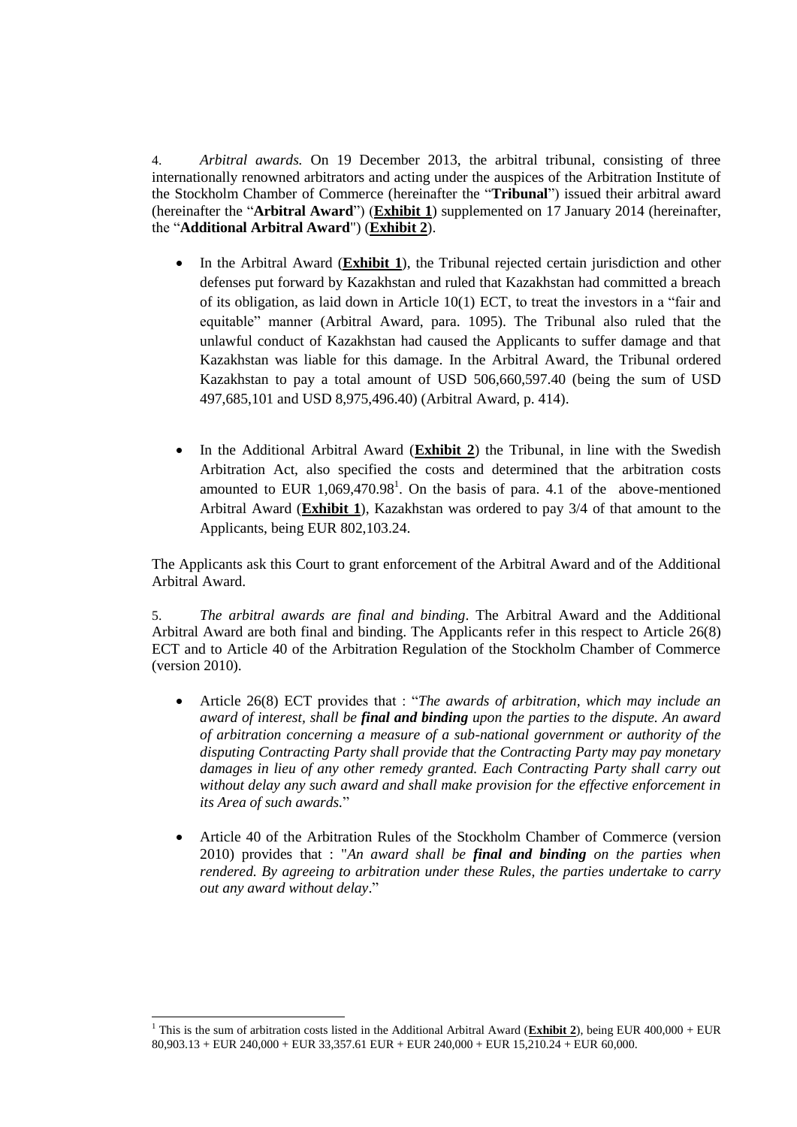4. *Arbitral awards.* On 19 December 2013, the arbitral tribunal, consisting of three internationally renowned arbitrators and acting under the auspices of the Arbitration Institute of the Stockholm Chamber of Commerce (hereinafter the "**Tribunal**") issued their arbitral award (hereinafter the "**Arbitral Award**") (**Exhibit 1**) supplemented on 17 January 2014 (hereinafter, the "**Additional Arbitral Award**") (**Exhibit 2**).

- In the Arbitral Award (**Exhibit 1**), the Tribunal rejected certain jurisdiction and other defenses put forward by Kazakhstan and ruled that Kazakhstan had committed a breach of its obligation, as laid down in Article  $10(1)$  ECT, to treat the investors in a "fair and equitable" manner (Arbitral Award, para. 1095). The Tribunal also ruled that the unlawful conduct of Kazakhstan had caused the Applicants to suffer damage and that Kazakhstan was liable for this damage. In the Arbitral Award, the Tribunal ordered Kazakhstan to pay a total amount of USD 506,660,597.40 (being the sum of USD 497,685,101 and USD 8,975,496.40) (Arbitral Award, p. 414).
- In the Additional Arbitral Award (**Exhibit 2**) the Tribunal, in line with the Swedish Arbitration Act, also specified the costs and determined that the arbitration costs amounted to EUR  $1,069,470.98<sup>1</sup>$ . On the basis of para. 4.1 of the above-mentioned Arbitral Award (**Exhibit 1**), Kazakhstan was ordered to pay 3/4 of that amount to the Applicants, being EUR 802,103.24.

The Applicants ask this Court to grant enforcement of the Arbitral Award and of the Additional Arbitral Award.

5. *The arbitral awards are final and binding*. The Arbitral Award and the Additional Arbitral Award are both final and binding. The Applicants refer in this respect to Article 26(8) ECT and to Article 40 of the Arbitration Regulation of the Stockholm Chamber of Commerce (version 2010).

- Article 26(8) ECT provides that : "*The awards of arbitration, which may include an award of interest, shall be final and binding upon the parties to the dispute. An award of arbitration concerning a measure of a sub-national government or authority of the disputing Contracting Party shall provide that the Contracting Party may pay monetary damages in lieu of any other remedy granted. Each Contracting Party shall carry out without delay any such award and shall make provision for the effective enforcement in its Area of such awards.*"
- Article 40 of the Arbitration Rules of the Stockholm Chamber of Commerce (version 2010) provides that : "*An award shall be final and binding on the parties when rendered. By agreeing to arbitration under these Rules, the parties undertake to carry out any award without delay*."

 <sup>1</sup> This is the sum of arbitration costs listed in the Additional Arbitral Award (**Exhibit 2**), being EUR 400,000 + EUR 80,903.13 + EUR 240,000 + EUR 33,357.61 EUR + EUR 240,000 + EUR 15,210.24 + EUR 60,000.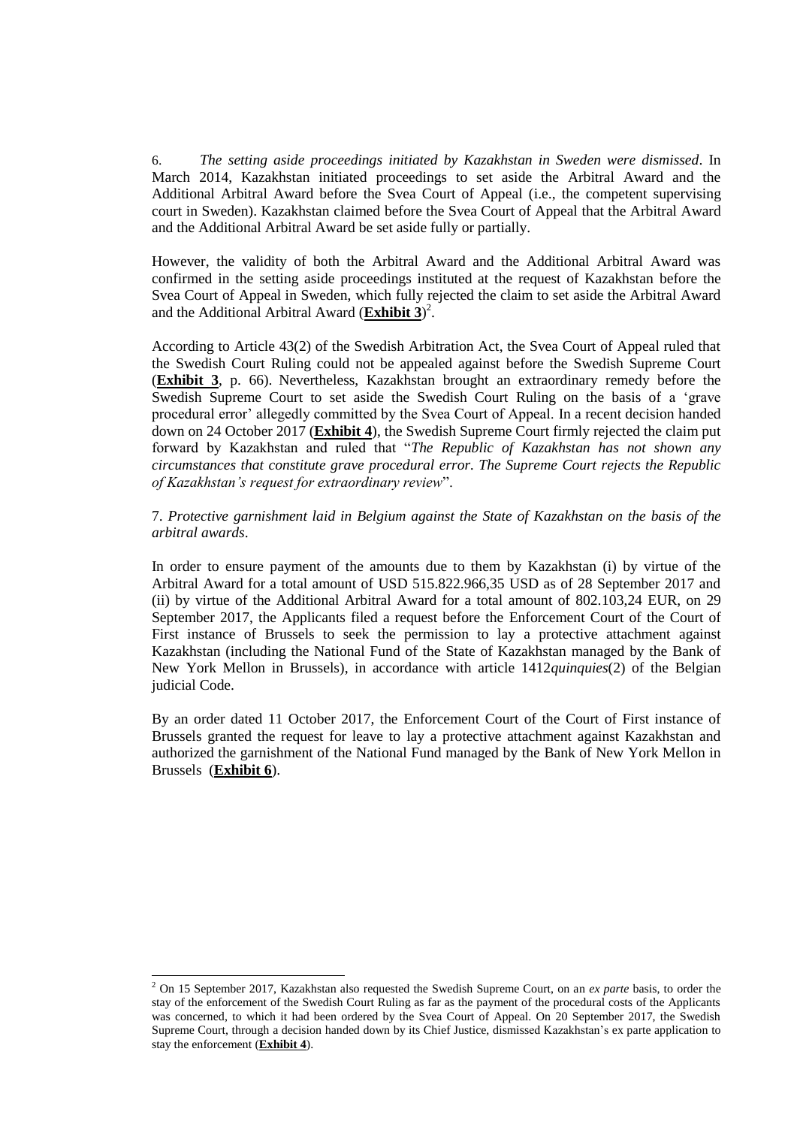6. *The setting aside proceedings initiated by Kazakhstan in Sweden were dismissed*. In March 2014, Kazakhstan initiated proceedings to set aside the Arbitral Award and the Additional Arbitral Award before the Svea Court of Appeal (i.e., the competent supervising court in Sweden). Kazakhstan claimed before the Svea Court of Appeal that the Arbitral Award and the Additional Arbitral Award be set aside fully or partially.

However, the validity of both the Arbitral Award and the Additional Arbitral Award was confirmed in the setting aside proceedings instituted at the request of Kazakhstan before the Svea Court of Appeal in Sweden, which fully rejected the claim to set aside the Arbitral Award and the Additional Arbitral Award (**Exhibit 3**) 2 .

According to Article 43(2) of the Swedish Arbitration Act, the Svea Court of Appeal ruled that the Swedish Court Ruling could not be appealed against before the Swedish Supreme Court (**Exhibit 3**, p. 66). Nevertheless, Kazakhstan brought an extraordinary remedy before the Swedish Supreme Court to set aside the Swedish Court Ruling on the basis of a 'grave procedural error' allegedly committed by the Svea Court of Appeal. In a recent decision handed down on 24 October 2017 (**Exhibit 4**), the Swedish Supreme Court firmly rejected the claim put forward by Kazakhstan and ruled that "*The Republic of Kazakhstan has not shown any circumstances that constitute grave procedural error. The Supreme Court rejects the Republic of Kazakhstan's request for extraordinary review*".

7. *Protective garnishment laid in Belgium against the State of Kazakhstan on the basis of the arbitral awards*.

In order to ensure payment of the amounts due to them by Kazakhstan (i) by virtue of the Arbitral Award for a total amount of USD 515.822.966,35 USD as of 28 September 2017 and (ii) by virtue of the Additional Arbitral Award for a total amount of 802.103,24 EUR, on 29 September 2017, the Applicants filed a request before the Enforcement Court of the Court of First instance of Brussels to seek the permission to lay a protective attachment against Kazakhstan (including the National Fund of the State of Kazakhstan managed by the Bank of New York Mellon in Brussels), in accordance with article 1412*quinquies*(2) of the Belgian judicial Code.

By an order dated 11 October 2017, the Enforcement Court of the Court of First instance of Brussels granted the request for leave to lay a protective attachment against Kazakhstan and authorized the garnishment of the National Fund managed by the Bank of New York Mellon in Brussels (**Exhibit 6**).

<sup>2</sup> On 15 September 2017, Kazakhstan also requested the Swedish Supreme Court, on an *ex parte* basis, to order the stay of the enforcement of the Swedish Court Ruling as far as the payment of the procedural costs of the Applicants was concerned, to which it had been ordered by the Svea Court of Appeal. On 20 September 2017, the Swedish Supreme Court, through a decision handed down by its Chief Justice, dismissed Kazakhstan's ex parte application to stay the enforcement (**Exhibit 4**).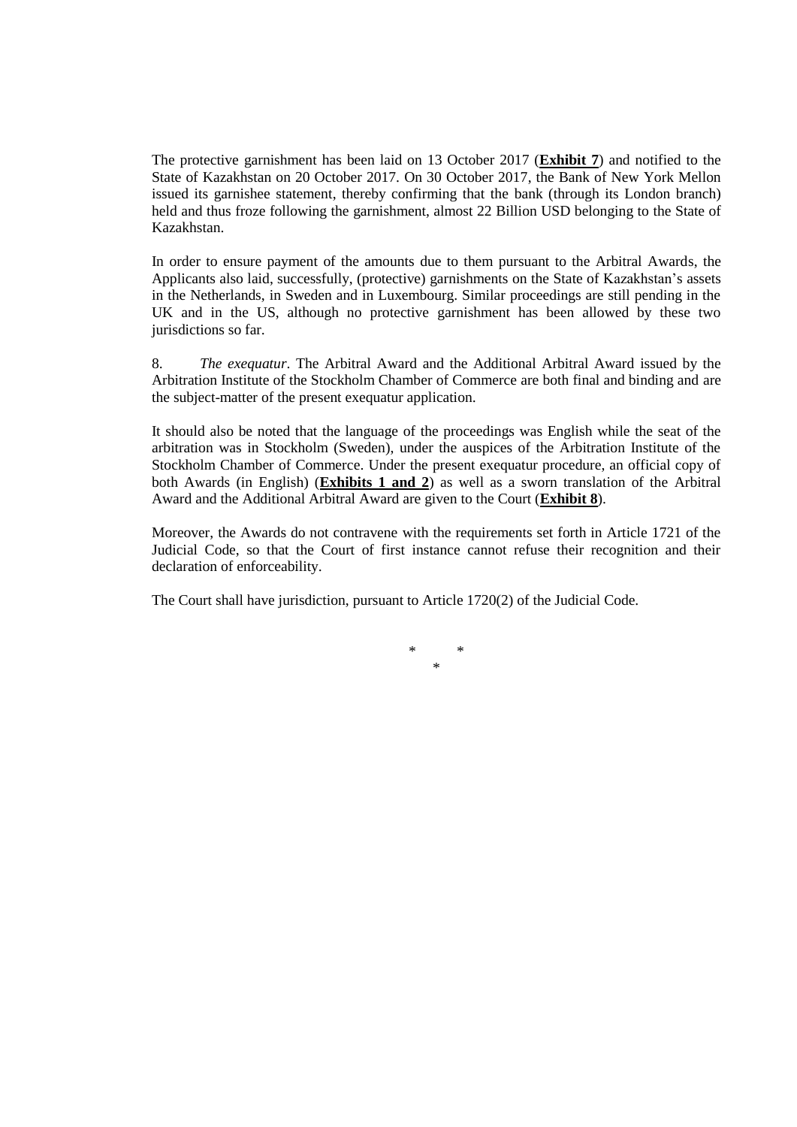The protective garnishment has been laid on 13 October 2017 (**Exhibit 7**) and notified to the State of Kazakhstan on 20 October 2017. On 30 October 2017, the Bank of New York Mellon issued its garnishee statement, thereby confirming that the bank (through its London branch) held and thus froze following the garnishment, almost 22 Billion USD belonging to the State of Kazakhstan.

In order to ensure payment of the amounts due to them pursuant to the Arbitral Awards, the Applicants also laid, successfully, (protective) garnishments on the State of Kazakhstan's assets in the Netherlands, in Sweden and in Luxembourg. Similar proceedings are still pending in the UK and in the US, although no protective garnishment has been allowed by these two jurisdictions so far.

8. *The exequatur*. The Arbitral Award and the Additional Arbitral Award issued by the Arbitration Institute of the Stockholm Chamber of Commerce are both final and binding and are the subject-matter of the present exequatur application.

It should also be noted that the language of the proceedings was English while the seat of the arbitration was in Stockholm (Sweden), under the auspices of the Arbitration Institute of the Stockholm Chamber of Commerce. Under the present exequatur procedure, an official copy of both Awards (in English) (**Exhibits 1 and 2**) as well as a sworn translation of the Arbitral Award and the Additional Arbitral Award are given to the Court (**Exhibit 8**).

Moreover, the Awards do not contravene with the requirements set forth in Article 1721 of the Judicial Code, so that the Court of first instance cannot refuse their recognition and their declaration of enforceability.

The Court shall have jurisdiction, pursuant to Article 1720(2) of the Judicial Code.

\* \* \*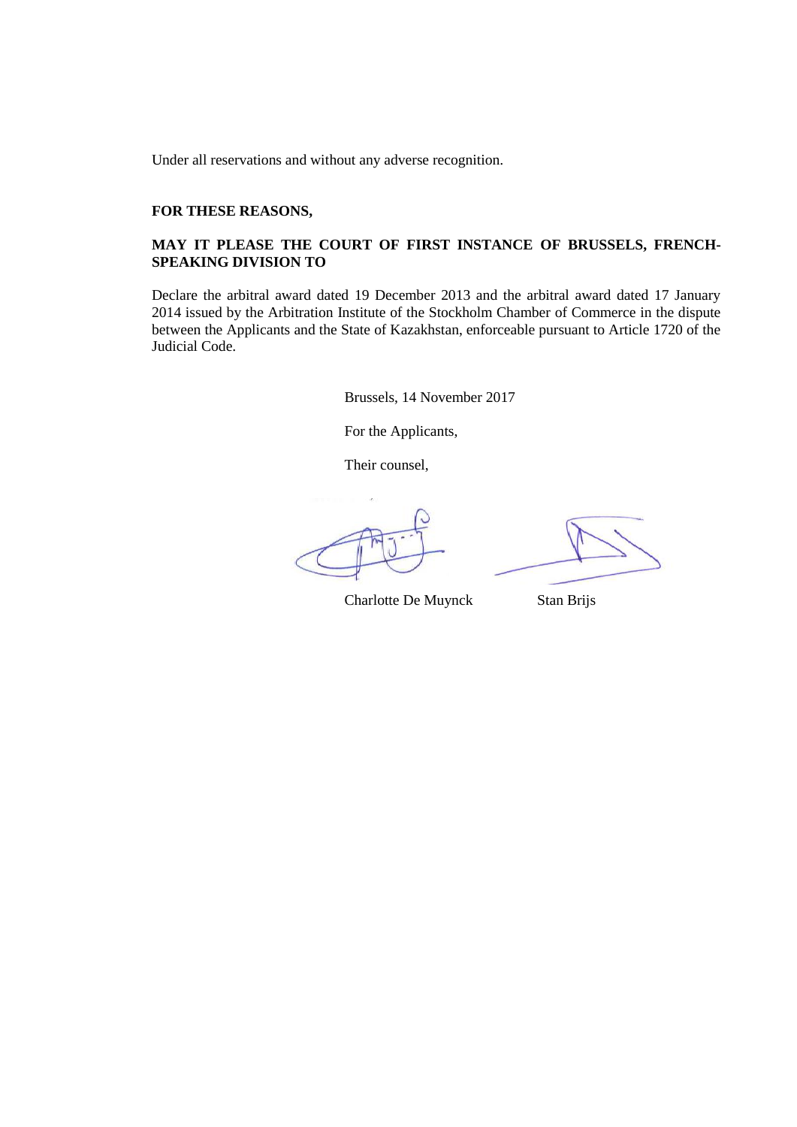Under all reservations and without any adverse recognition.

#### **FOR THESE REASONS,**

# **MAY IT PLEASE THE COURT OF FIRST INSTANCE OF BRUSSELS, FRENCH-SPEAKING DIVISION TO**

Declare the arbitral award dated 19 December 2013 and the arbitral award dated 17 January 2014 issued by the Arbitration Institute of the Stockholm Chamber of Commerce in the dispute between the Applicants and the State of Kazakhstan, enforceable pursuant to Article 1720 of the Judicial Code.

Brussels, 14 November 2017

For the Applicants,

Their counsel,

Charlotte De Muynck Stan Brijs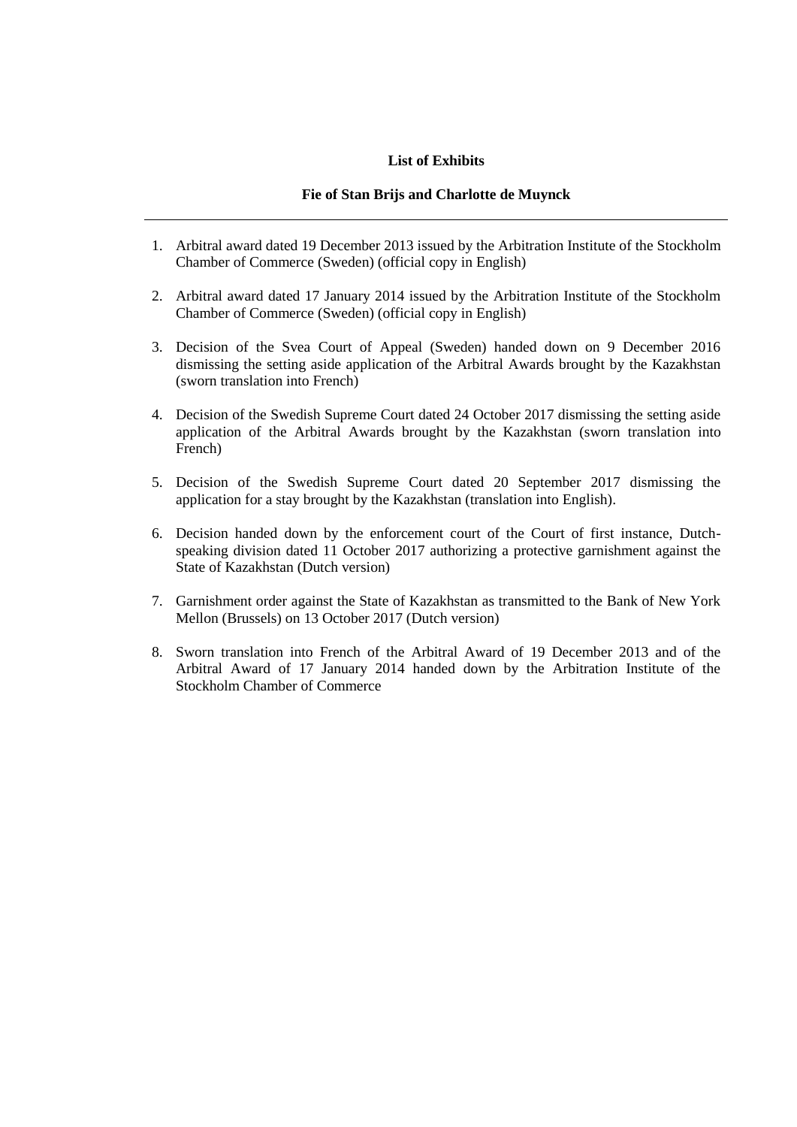#### **List of Exhibits**

#### **Fie of Stan Brijs and Charlotte de Muynck**

- 1. Arbitral award dated 19 December 2013 issued by the Arbitration Institute of the Stockholm Chamber of Commerce (Sweden) (official copy in English)
- 2. Arbitral award dated 17 January 2014 issued by the Arbitration Institute of the Stockholm Chamber of Commerce (Sweden) (official copy in English)
- 3. Decision of the Svea Court of Appeal (Sweden) handed down on 9 December 2016 dismissing the setting aside application of the Arbitral Awards brought by the Kazakhstan (sworn translation into French)
- 4. Decision of the Swedish Supreme Court dated 24 October 2017 dismissing the setting aside application of the Arbitral Awards brought by the Kazakhstan (sworn translation into French)
- 5. Decision of the Swedish Supreme Court dated 20 September 2017 dismissing the application for a stay brought by the Kazakhstan (translation into English).
- 6. Decision handed down by the enforcement court of the Court of first instance, Dutchspeaking division dated 11 October 2017 authorizing a protective garnishment against the State of Kazakhstan (Dutch version)
- 7. Garnishment order against the State of Kazakhstan as transmitted to the Bank of New York Mellon (Brussels) on 13 October 2017 (Dutch version)
- 8. Sworn translation into French of the Arbitral Award of 19 December 2013 and of the Arbitral Award of 17 January 2014 handed down by the Arbitration Institute of the Stockholm Chamber of Commerce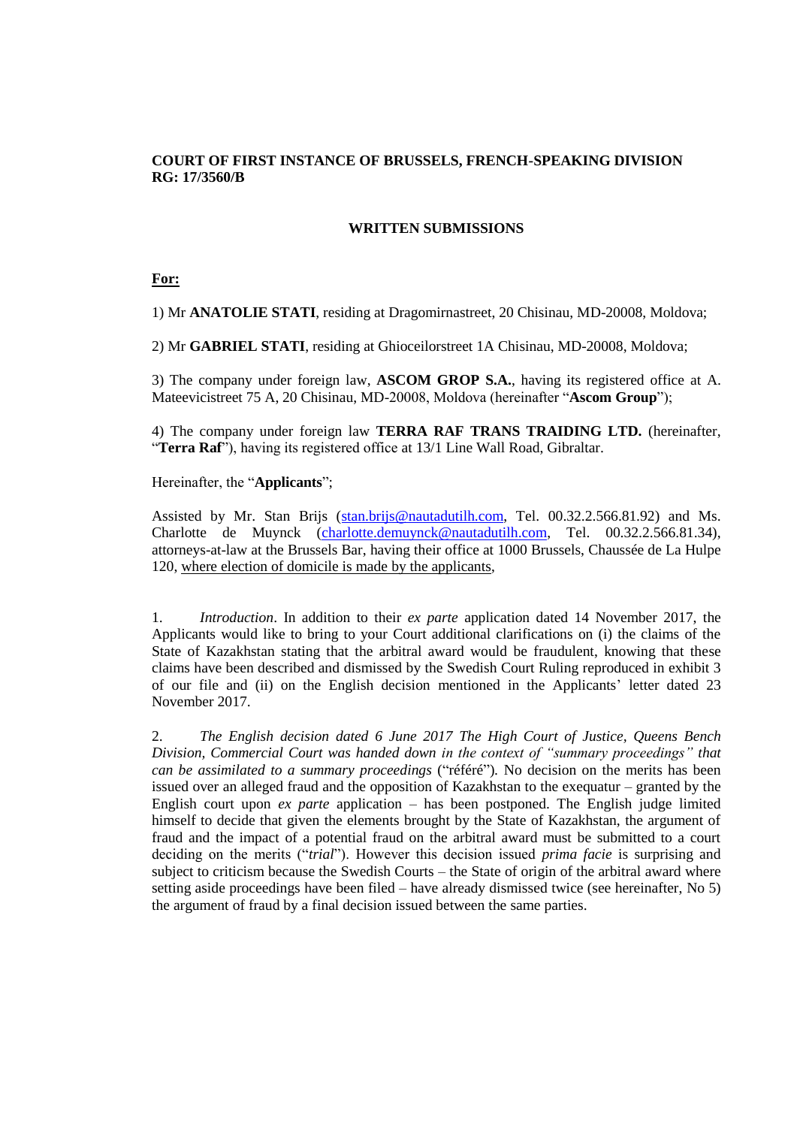# **COURT OF FIRST INSTANCE OF BRUSSELS, FRENCH-SPEAKING DIVISION RG: 17/3560/B**

#### **WRITTEN SUBMISSIONS**

#### **For:**

1) Mr **ANATOLIE STATI**, residing at Dragomirnastreet, 20 Chisinau, MD-20008, Moldova;

2) Mr **GABRIEL STATI**, residing at Ghioceilorstreet 1A Chisinau, MD-20008, Moldova;

3) The company under foreign law, **ASCOM GROP S.A.**, having its registered office at A. Mateevicistreet 75 A, 20 Chisinau, MD-20008, Moldova (hereinafter "**Ascom Group**");

4) The company under foreign law **TERRA RAF TRANS TRAIDING LTD.** (hereinafter, "**Terra Raf**"), having its registered office at 13/1 Line Wall Road, Gibraltar.

Hereinafter, the "**Applicants**";

Assisted by Mr. Stan Brijs (stan.brijs@nautadutilh.com, Tel. 00.32.2.566.81.92) and Ms. Charlotte de Muynck (charlotte.demuynck@nautadutilh.com, Tel. 00.32.2.566.81.34), attorneys-at-law at the Brussels Bar, having their office at 1000 Brussels, Chaussée de La Hulpe 120, where election of domicile is made by the applicants,

1. *Introduction*. In addition to their *ex parte* application dated 14 November 2017, the Applicants would like to bring to your Court additional clarifications on (i) the claims of the State of Kazakhstan stating that the arbitral award would be fraudulent, knowing that these claims have been described and dismissed by the Swedish Court Ruling reproduced in exhibit 3 of our file and (ii) on the English decision mentioned in the Applicants' letter dated 23 November 2017.

2. *The English decision dated 6 June 2017 The High Court of Justice, Queens Bench Division, Commercial Court was handed down in the context of "summary proceedings" that can be assimilated to a summary proceedings* ("référé")*.* No decision on the merits has been issued over an alleged fraud and the opposition of Kazakhstan to the exequatur – granted by the English court upon *ex parte* application – has been postponed. The English judge limited himself to decide that given the elements brought by the State of Kazakhstan, the argument of fraud and the impact of a potential fraud on the arbitral award must be submitted to a court deciding on the merits ("*trial*"). However this decision issued *prima facie* is surprising and subject to criticism because the Swedish Courts – the State of origin of the arbitral award where setting aside proceedings have been filed – have already dismissed twice (see hereinafter, No 5) the argument of fraud by a final decision issued between the same parties.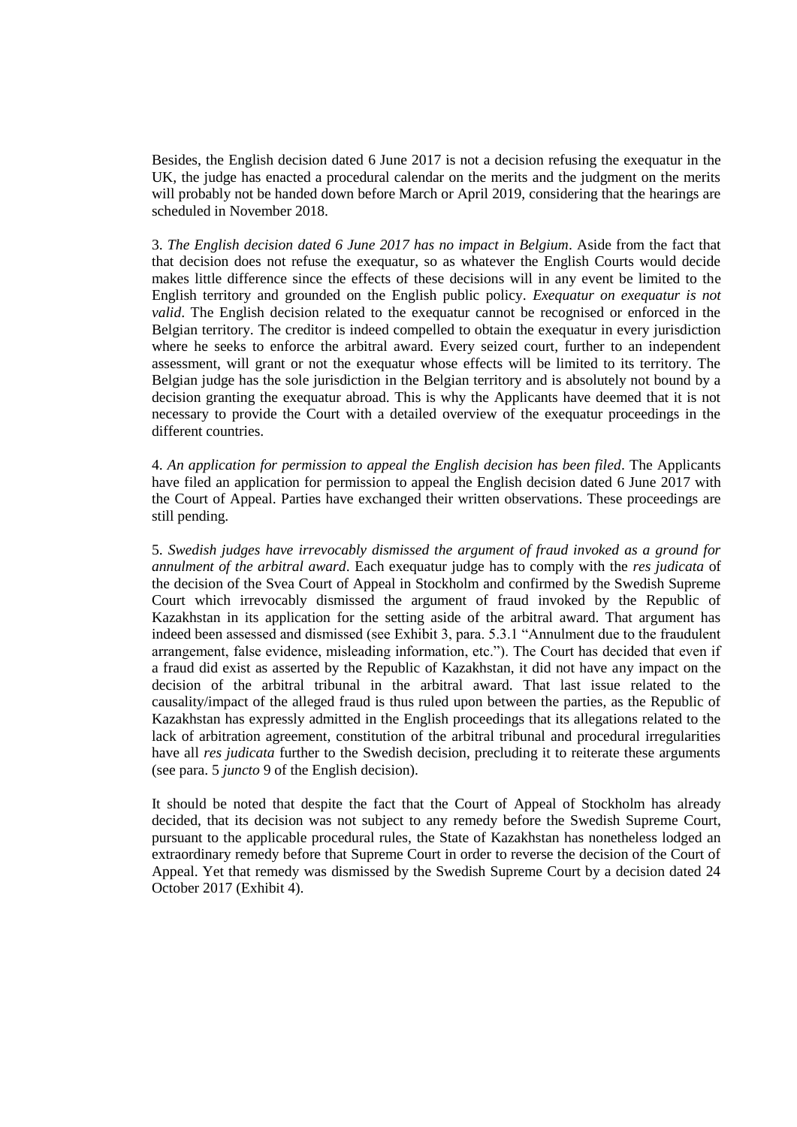Besides, the English decision dated 6 June 2017 is not a decision refusing the exequatur in the UK, the judge has enacted a procedural calendar on the merits and the judgment on the merits will probably not be handed down before March or April 2019, considering that the hearings are scheduled in November 2018.

3. *The English decision dated 6 June 2017 has no impact in Belgium*. Aside from the fact that that decision does not refuse the exequatur, so as whatever the English Courts would decide makes little difference since the effects of these decisions will in any event be limited to the English territory and grounded on the English public policy. *Exequatur on exequatur is not valid*. The English decision related to the exequatur cannot be recognised or enforced in the Belgian territory. The creditor is indeed compelled to obtain the exequatur in every jurisdiction where he seeks to enforce the arbitral award. Every seized court, further to an independent assessment, will grant or not the exequatur whose effects will be limited to its territory. The Belgian judge has the sole jurisdiction in the Belgian territory and is absolutely not bound by a decision granting the exequatur abroad. This is why the Applicants have deemed that it is not necessary to provide the Court with a detailed overview of the exequatur proceedings in the different countries.

4. *An application for permission to appeal the English decision has been filed*. The Applicants have filed an application for permission to appeal the English decision dated 6 June 2017 with the Court of Appeal. Parties have exchanged their written observations. These proceedings are still pending.

5. *Swedish judges have irrevocably dismissed the argument of fraud invoked as a ground for annulment of the arbitral award*. Each exequatur judge has to comply with the *res judicata* of the decision of the Svea Court of Appeal in Stockholm and confirmed by the Swedish Supreme Court which irrevocably dismissed the argument of fraud invoked by the Republic of Kazakhstan in its application for the setting aside of the arbitral award. That argument has indeed been assessed and dismissed (see Exhibit 3, para. 5.3.1 "Annulment due to the fraudulent arrangement, false evidence, misleading information, etc."). The Court has decided that even if a fraud did exist as asserted by the Republic of Kazakhstan, it did not have any impact on the decision of the arbitral tribunal in the arbitral award. That last issue related to the causality/impact of the alleged fraud is thus ruled upon between the parties, as the Republic of Kazakhstan has expressly admitted in the English proceedings that its allegations related to the lack of arbitration agreement, constitution of the arbitral tribunal and procedural irregularities have all *res judicata* further to the Swedish decision, precluding it to reiterate these arguments (see para. 5 *juncto* 9 of the English decision).

It should be noted that despite the fact that the Court of Appeal of Stockholm has already decided, that its decision was not subject to any remedy before the Swedish Supreme Court, pursuant to the applicable procedural rules, the State of Kazakhstan has nonetheless lodged an extraordinary remedy before that Supreme Court in order to reverse the decision of the Court of Appeal. Yet that remedy was dismissed by the Swedish Supreme Court by a decision dated 24 October 2017 (Exhibit 4).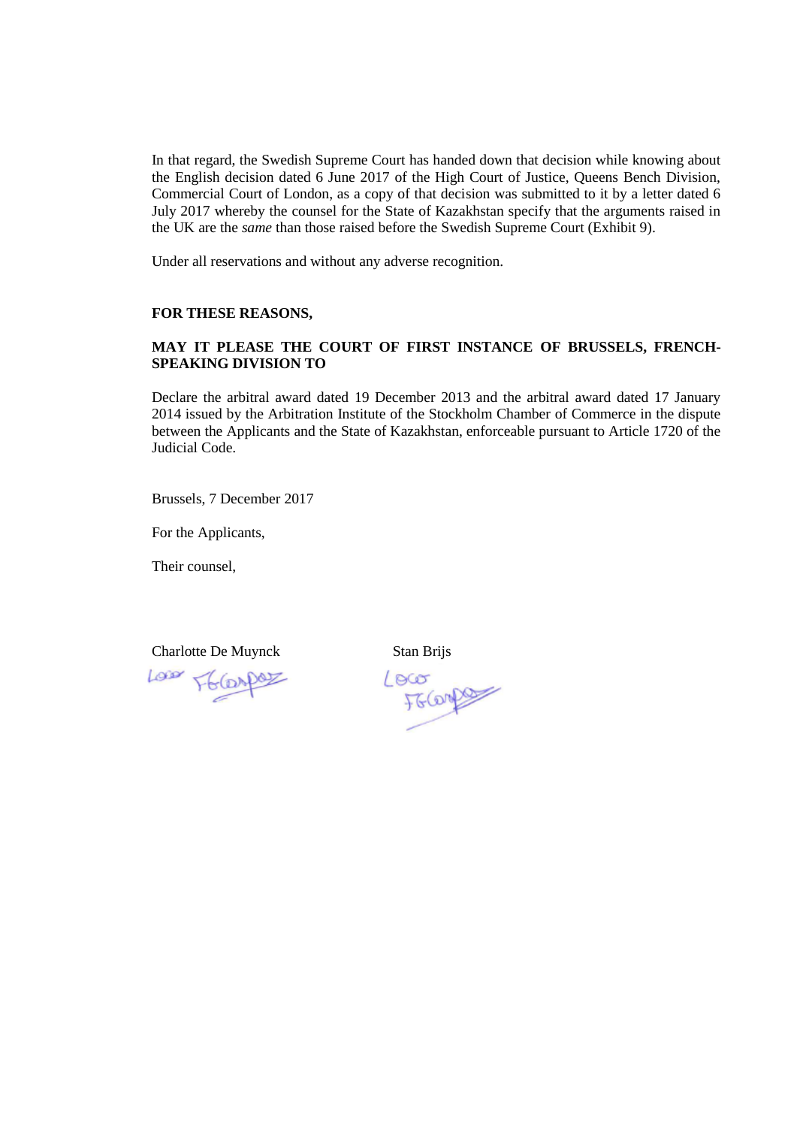In that regard, the Swedish Supreme Court has handed down that decision while knowing about the English decision dated 6 June 2017 of the High Court of Justice, Queens Bench Division, Commercial Court of London, as a copy of that decision was submitted to it by a letter dated 6 July 2017 whereby the counsel for the State of Kazakhstan specify that the arguments raised in the UK are the *same* than those raised before the Swedish Supreme Court (Exhibit 9).

Under all reservations and without any adverse recognition.

#### **FOR THESE REASONS,**

# **MAY IT PLEASE THE COURT OF FIRST INSTANCE OF BRUSSELS, FRENCH-SPEAKING DIVISION TO**

Declare the arbitral award dated 19 December 2013 and the arbitral award dated 17 January 2014 issued by the Arbitration Institute of the Stockholm Chamber of Commerce in the dispute between the Applicants and the State of Kazakhstan, enforceable pursuant to Article 1720 of the Judicial Code.

Brussels, 7 December 2017

For the Applicants,

Their counsel,

Charlotte De Muynck Stan Brijs

Loss F6 (DADO)

Loco